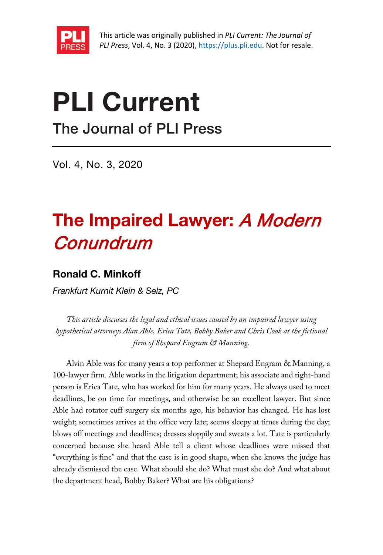

# PLI Current

The Journal of PLI Press

Vol. 4, No. 3, 2020

# The Impaired Lawyer: A Modern Conundrum

# Ronald C. Minkoff

*Frankfurt Kurnit Klein & Selz, PC*

*This article discusses the legal and ethical issues caused by an impaired lawyer using hypothetical attorneys Alan Able, Erica Tate, Bobby Baker and Chris Cook at the fictional firm of Shepard Engram & Manning.*

Alvin Able was for many years a top performer at Shepard Engram & Manning, a 100-lawyer firm. Able works in the litigation department; his associate and right-hand person is Erica Tate, who has worked for him for many years. He always used to meet deadlines, be on time for meetings, and otherwise be an excellent lawyer. But since Able had rotator cuff surgery six months ago, his behavior has changed. He has lost weight; sometimes arrives at the office very late; seems sleepy at times during the day; blows off meetings and deadlines; dresses sloppily and sweats a lot. Tate is particularly concerned because she heard Able tell a client whose deadlines were missed that "everything is fine" and that the case is in good shape, when she knows the judge has already dismissed the case. What should she do? What must she do? And what about the department head, Bobby Baker? What are his obligations?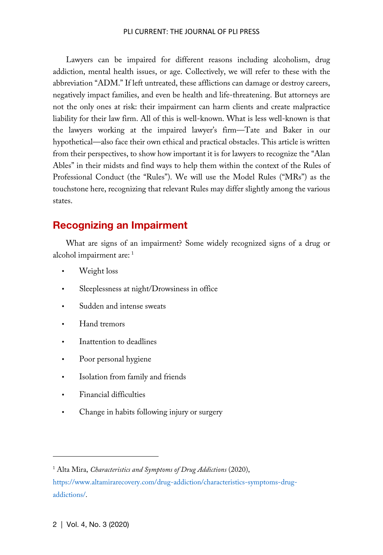#### PLI CURRENT: THE JOURNAL OF PLI PRESS

Lawyers can be impaired for different reasons including alcoholism, drug addiction, mental health issues, or age. Collectively, we will refer to these with the abbreviation "ADM." If left untreated, these afflictions can damage or destroy careers, negatively impact families, and even be health and life-threatening. But attorneys are not the only ones at risk: their impairment can harm clients and create malpractice liability for their law firm. All of this is well-known. What is less well-known is that the lawyers working at the impaired lawyer's firm—Tate and Baker in our hypothetical—also face their own ethical and practical obstacles. This article is written from their perspectives, to show how important it is for lawyers to recognize the "Alan Ables" in their midsts and find ways to help them within the context of the Rules of Professional Conduct (the "Rules"). We will use the Model Rules ("MRs") as the touchstone here, recognizing that relevant Rules may differ slightly among the various states.

# Recognizing an Impairment

What are signs of an impairment? Some widely recognized signs of a drug or alcohol impairment are: [1](#page-1-0)

- Weight loss
- Sleeplessness at night/Drowsiness in office
- Sudden and intense sweats
- Hand tremors
- Inattention to deadlines
- Poor personal hygiene
- Isolation from family and friends
- Financial difficulties
- Change in habits following injury or surgery

<span id="page-1-0"></span><sup>1</sup> Alta Mira, *Characteristics and Symptoms of Drug Addictions* (2020),

[https://www.altamirarecovery.com/drug-addiction/characteristics-symptoms-drug](https://www.altamirarecovery.com/drug-addiction/characteristics-symptoms-drug-addictions/)[addictions/.](https://www.altamirarecovery.com/drug-addiction/characteristics-symptoms-drug-addictions/)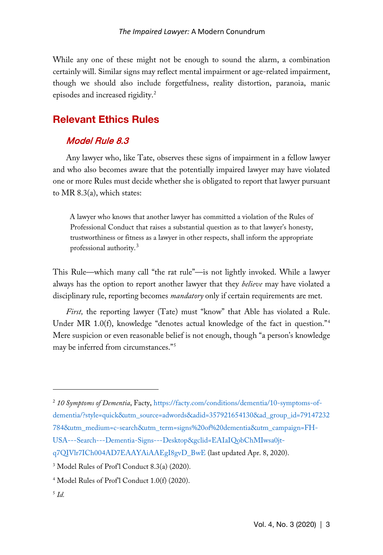While any one of these might not be enough to sound the alarm, a combination certainly will. Similar signs may reflect mental impairment or age-related impairment, though we should also include forgetfulness, reality distortion, paranoia, manic episodes and increased rigidity.[2](#page-2-0)

# Relevant Ethics Rules

## Model Rule 8.3

Any lawyer who, like Tate, observes these signs of impairment in a fellow lawyer and who also becomes aware that the potentially impaired lawyer may have violated one or more Rules must decide whether she is obligated to report that lawyer pursuant to MR 8.3(a), which states:

A lawyer who knows that another lawyer has committed a violation of the Rules of Professional Conduct that raises a substantial question as to that lawyer's honesty, trustworthiness or fitness as a lawyer in other respects, shall inform the appropriate professional authority.<sup>[3](#page-2-1)</sup>

This Rule—which many call "the rat rule"—is not lightly invoked. While a lawyer always has the option to report another lawyer that they *believe* may have violated a disciplinary rule, reporting becomes *mandatory* only if certain requirements are met.

*First*, the reporting lawyer (Tate) must "know" that Able has violated a Rule. Under MR 1.0(f), knowledge "denotes actual knowledge of the fact in question."<sup>[4](#page-2-2)</sup> Mere suspicion or even reasonable belief is not enough, though "a person's knowledge may be inferred from circumstances."[5](#page-2-3)

<span id="page-2-0"></span><sup>2</sup> *10 Symptoms of Dementia*, Facty, [https://facty.com/conditions/dementia/10-symptoms-of](https://facty.com/conditions/dementia/10-symptoms-of-dementia/?style=quick&utm_source=adwords&adid=357921654130&ad_group_id=79147232784&utm_medium=c-search&utm_term=signs%20of%20dementia&utm_campaign=FH-USA---Search---Dementia-Signs---Desktop&gclid=EAIaIQobChMIwsa0jt-q7QIVlr7ICh004AD7EAAYAiAAEgI8gvD_BwE)[dementia/?style=quick&utm\\_source=adwords&adid=357921654130&ad\\_group\\_id=79147232](https://facty.com/conditions/dementia/10-symptoms-of-dementia/?style=quick&utm_source=adwords&adid=357921654130&ad_group_id=79147232784&utm_medium=c-search&utm_term=signs%20of%20dementia&utm_campaign=FH-USA---Search---Dementia-Signs---Desktop&gclid=EAIaIQobChMIwsa0jt-q7QIVlr7ICh004AD7EAAYAiAAEgI8gvD_BwE) [784&utm\\_medium=c-search&utm\\_term=signs%20of%20dementia&utm\\_campaign=FH-](https://facty.com/conditions/dementia/10-symptoms-of-dementia/?style=quick&utm_source=adwords&adid=357921654130&ad_group_id=79147232784&utm_medium=c-search&utm_term=signs%20of%20dementia&utm_campaign=FH-USA---Search---Dementia-Signs---Desktop&gclid=EAIaIQobChMIwsa0jt-q7QIVlr7ICh004AD7EAAYAiAAEgI8gvD_BwE)

[USA---Search---Dementia-Signs---Desktop&gclid=EAIaIQobChMIwsa0jt-](https://facty.com/conditions/dementia/10-symptoms-of-dementia/?style=quick&utm_source=adwords&adid=357921654130&ad_group_id=79147232784&utm_medium=c-search&utm_term=signs%20of%20dementia&utm_campaign=FH-USA---Search---Dementia-Signs---Desktop&gclid=EAIaIQobChMIwsa0jt-q7QIVlr7ICh004AD7EAAYAiAAEgI8gvD_BwE)

[q7QIVlr7ICh004AD7EAAYAiAAEgI8gvD\\_BwE](https://facty.com/conditions/dementia/10-symptoms-of-dementia/?style=quick&utm_source=adwords&adid=357921654130&ad_group_id=79147232784&utm_medium=c-search&utm_term=signs%20of%20dementia&utm_campaign=FH-USA---Search---Dementia-Signs---Desktop&gclid=EAIaIQobChMIwsa0jt-q7QIVlr7ICh004AD7EAAYAiAAEgI8gvD_BwE) (last updated Apr. 8, 2020).

<span id="page-2-1"></span><sup>3</sup> Model Rules of Prof'l Conduct 8.3(a) (2020).

<span id="page-2-2"></span><sup>4</sup> Model Rules of Prof'l Conduct 1.0(f) (2020).

<span id="page-2-3"></span><sup>5</sup> *Id.*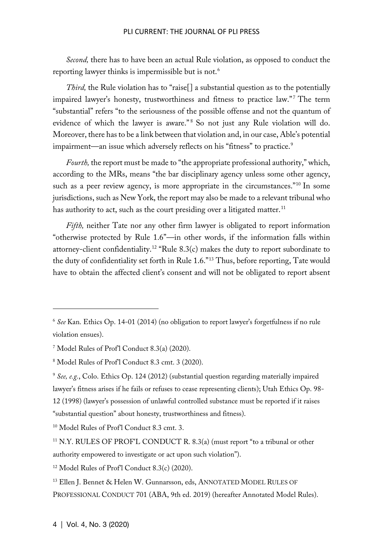#### PLI CURRENT: THE JOURNAL OF PLI PRESS

*Second,* there has to have been an actual Rule violation, as opposed to conduct the reporting lawyer thinks is impermissible but is not.<sup>[6](#page-3-0)</sup>

*Third*, the Rule violation has to "raise<sup>[]</sup> a substantial question as to the potentially impaired lawyer's honesty, trustworthiness and fitness to practice law."<sup>[7](#page-3-1)</sup> The term "substantial" refers "to the seriousness of the possible offense and not the quantum of evidence of which the lawyer is aware."<sup>[8](#page-3-2)</sup> So not just any Rule violation will do. Moreover, there has to be a link between that violation and, in our case, Able's potential impairment—an issue which adversely reflects on his "fitness" to practice.<sup>[9](#page-3-3)</sup>

*Fourth,* the report must be made to "the appropriate professional authority," which, according to the MRs, means "the bar disciplinary agency unless some other agency, such as a peer review agency, is more appropriate in the circumstances."<sup>[10](#page-3-4)</sup> In some jurisdictions, such as New York, the report may also be made to a relevant tribunal who has authority to act, such as the court presiding over a litigated matter.<sup>[11](#page-3-5)</sup>

*Fifth,* neither Tate nor any other firm lawyer is obligated to report information "otherwise protected by Rule 1.6"—in other words, if the information falls within attorney-client confidentiality.<sup>[12](#page-3-6)</sup> "Rule 8.3(c) makes the duty to report subordinate to the duty of confidentiality set forth in Rule 1.6."[13](#page-3-7) Thus, before reporting, Tate would have to obtain the affected client's consent and will not be obligated to report absent

<span id="page-3-6"></span><sup>12</sup> Model Rules of Prof'l Conduct 8.3(c) (2020).

<span id="page-3-0"></span><sup>6</sup> *See* Kan. Ethics Op. 14-01 (2014) (no obligation to report lawyer's forgetfulness if no rule violation ensues).

<span id="page-3-1"></span><sup>7</sup> Model Rules of Prof'l Conduct 8.3(a) (2020).

<span id="page-3-2"></span><sup>8</sup> Model Rules of Prof'l Conduct 8.3 cmt. 3 (2020).

<span id="page-3-3"></span><sup>9</sup> *See, e.g.*, Colo. Ethics Op. 124 (2012) (substantial question regarding materially impaired lawyer's fitness arises if he fails or refuses to cease representing clients); Utah Ethics Op. 98- 12 (1998) (lawyer's possession of unlawful controlled substance must be reported if it raises "substantial question" about honesty, trustworthiness and fitness).

<span id="page-3-4"></span><sup>10</sup> Model Rules of Prof'l Conduct 8.3 cmt. 3.

<span id="page-3-5"></span><sup>11</sup> N.Y. RULES OF PROF'L CONDUCT R. 8.3(a) (must report "to a tribunal or other authority empowered to investigate or act upon such violation").

<span id="page-3-7"></span><sup>13</sup> Ellen J. Bennet & Helen W. Gunnarsson, eds, ANNOTATED MODEL RULES OF PROFESSIONAL CONDUCT 701 (ABA, 9th ed. 2019) (hereafter Annotated Model Rules).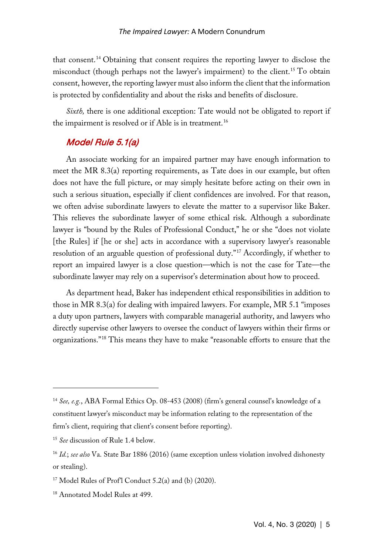that consent.[14](#page-4-0) Obtaining that consent requires the reporting lawyer to disclose the misconduct (though perhaps not the lawyer's impairment) to the client.<sup>[15](#page-4-1)</sup> To obtain consent, however, the reporting lawyer must also inform the client that the information is protected by confidentiality and about the risks and benefits of disclosure.

*Sixth,* there is one additional exception: Tate would not be obligated to report if the impairment is resolved or if Able is in treatment.<sup>[16](#page-4-2)</sup>

#### Model Rule 5.1(a)

An associate working for an impaired partner may have enough information to meet the MR 8.3(a) reporting requirements, as Tate does in our example, but often does not have the full picture, or may simply hesitate before acting on their own in such a serious situation, especially if client confidences are involved. For that reason, we often advise subordinate lawyers to elevate the matter to a supervisor like Baker. This relieves the subordinate lawyer of some ethical risk. Although a subordinate lawyer is "bound by the Rules of Professional Conduct," he or she "does not violate [the Rules] if [he or she] acts in accordance with a supervisory lawyer's reasonable resolution of an arguable question of professional duty."[17](#page-4-3) Accordingly, if whether to report an impaired lawyer is a close question—which is not the case for Tate—the subordinate lawyer may rely on a supervisor's determination about how to proceed.

As department head, Baker has independent ethical responsibilities in addition to those in MR 8.3(a) for dealing with impaired lawyers. For example, MR 5.1 "imposes a duty upon partners, lawyers with comparable managerial authority, and lawyers who directly supervise other lawyers to oversee the conduct of lawyers within their firms or organizations."[18](#page-4-4) This means they have to make "reasonable efforts to ensure that the

<span id="page-4-0"></span><sup>14</sup> *See, e.g.*, ABA Formal Ethics Op. 08-453 (2008) (firm's general counsel's knowledge of a constituent lawyer's misconduct may be information relating to the representation of the firm's client, requiring that client's consent before reporting).

<span id="page-4-1"></span><sup>15</sup> *See* discussion of Rule 1.4 below.

<span id="page-4-2"></span><sup>16</sup> *Id.*; *see also* Va. State Bar 1886 (2016) (same exception unless violation involved dishonesty or stealing).

<span id="page-4-3"></span> $17$  Model Rules of Prof'l Conduct 5.2(a) and (b) (2020).

<span id="page-4-4"></span><sup>18</sup> Annotated Model Rules at 499.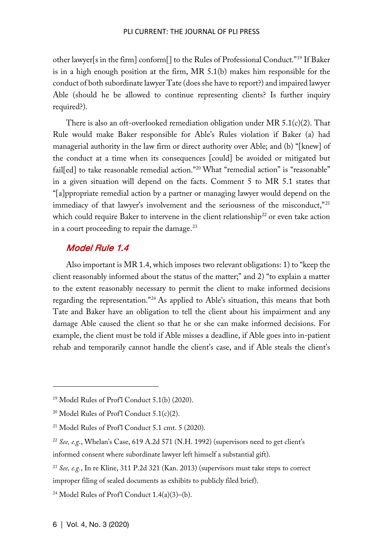other lawyer[s in the firm] conform[] to the Rules of Professional Conduct."[19](#page-5-0) If Baker is in a high enough position at the firm, MR 5.1(b) makes him responsible for the conduct of both subordinate lawyer Tate (does she have to report?) and impaired lawyer Able (should he be allowed to continue representing clients? Is further inquiry required?).

There is also an oft-overlooked remediation obligation under MR 5.1(c)(2). That Rule would make Baker responsible for Able's Rules violation if Baker (a) had managerial authority in the law firm or direct authority over Able; and (b) "[knew] of the conduct at a time when its consequences [could] be avoided or mitigated but fail[ed] to take reasonable remedial action."[20](#page-5-1) What "remedial action" is "reasonable" in a given situation will depend on the facts. Comment 5 to MR 5.1 states that "[a]ppropriate remedial action by a partner or managing lawyer would depend on the immediacy of that lawyer's involvement and the seriousness of the misconduct,"<sup>[21](#page-5-2)</sup> which could require Baker to intervene in the client relationship<sup>[22](#page-5-3)</sup> or even take action in a court proceeding to repair the damage. $^{23}$  $^{23}$  $^{23}$ 

### Model Rule 1.4

Also important is MR 1.4, which imposes two relevant obligations: 1) to "keep the client reasonably informed about the status of the matter;" and 2) "to explain a matter to the extent reasonably necessary to permit the client to make informed decisions regarding the representation."[24](#page-5-5) As applied to Able's situation, this means that both Tate and Baker have an obligation to tell the client about his impairment and any damage Able caused the client so that he or she can make informed decisions. For example, the client must be told if Able misses a deadline, if Able goes into in-patient rehab and temporarily cannot handle the client's case, and if Able steals the client's

<span id="page-5-0"></span><sup>19</sup> Model Rules of Prof'l Conduct 5.1(b) (2020).

<span id="page-5-1"></span><sup>&</sup>lt;sup>20</sup> Model Rules of Prof<sup>1</sup> Conduct  $5.1(c)(2)$ .

<span id="page-5-2"></span><sup>21</sup> Model Rules of Prof'l Conduct 5.1 cmt. 5 (2020).

<span id="page-5-3"></span><sup>22</sup> *See, e.g.*, Whelan's Case, 619 A.2d 571 (N.H. 1992) (supervisors need to get client's informed consent where subordinate lawyer left himself a substantial gift).

<span id="page-5-4"></span><sup>23</sup> *See, e.g.*, In re Kline, 311 P.2d 321 (Kan. 2013) (supervisors must take steps to correct improper filing of sealed documents as exhibits to publicly filed brief).

<span id="page-5-5"></span><sup>&</sup>lt;sup>24</sup> Model Rules of Prof<sup>1</sup> Conduct  $1.4(a)(3)$ –(b).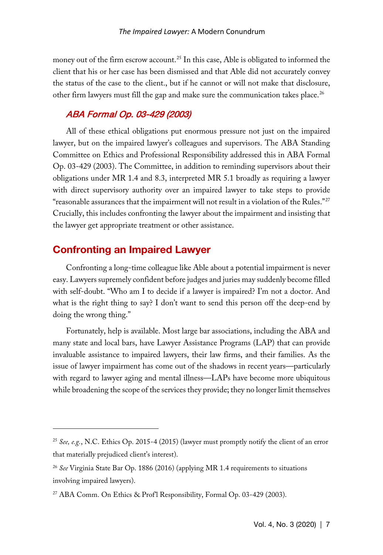money out of the firm escrow account. [25](#page-6-0) In this case, Able is obligated to informed the client that his or her case has been dismissed and that Able did not accurately convey the status of the case to the client., but if he cannot or will not make that disclosure, other firm lawyers must fill the gap and make sure the communication takes place.<sup>[26](#page-6-1)</sup>

# ABA Formal Op. 03-429 (2003)

All of these ethical obligations put enormous pressure not just on the impaired lawyer, but on the impaired lawyer's colleagues and supervisors. The ABA Standing Committee on Ethics and Professional Responsibility addressed this in ABA Formal Op. 03-429 (2003). The Committee, in addition to reminding supervisors about their obligations under MR 1.4 and 8.3, interpreted MR 5.1 broadly as requiring a lawyer with direct supervisory authority over an impaired lawyer to take steps to provide "reasonable assurances that the impairment will not result in a violation of the Rules."[27](#page-6-2) Crucially, this includes confronting the lawyer about the impairment and insisting that the lawyer get appropriate treatment or other assistance.

# Confronting an Impaired Lawyer

Confronting a long-time colleague like Able about a potential impairment is never easy. Lawyers supremely confident before judges and juries may suddenly become filled with self-doubt. "Who am I to decide if a lawyer is impaired? I'm not a doctor. And what is the right thing to say? I don't want to send this person off the deep-end by doing the wrong thing."

Fortunately, help is available. Most large bar associations, including the ABA and many state and local bars, have Lawyer Assistance Programs (LAP) that can provide invaluable assistance to impaired lawyers, their law firms, and their families. As the issue of lawyer impairment has come out of the shadows in recent years—particularly with regard to lawyer aging and mental illness—LAPs have become more ubiquitous while broadening the scope of the services they provide; they no longer limit themselves

<span id="page-6-0"></span><sup>25</sup> *See, e.g.*, N.C. Ethics Op. 2015-4 (2015) (lawyer must promptly notify the client of an error that materially prejudiced client's interest).

<span id="page-6-1"></span><sup>26</sup> *See* Virginia State Bar Op. 1886 (2016) (applying MR 1.4 requirements to situations involving impaired lawyers).

<span id="page-6-2"></span><sup>27</sup> ABA Comm. On Ethics & Prof'l Responsibility, Formal Op. 03-429 (2003).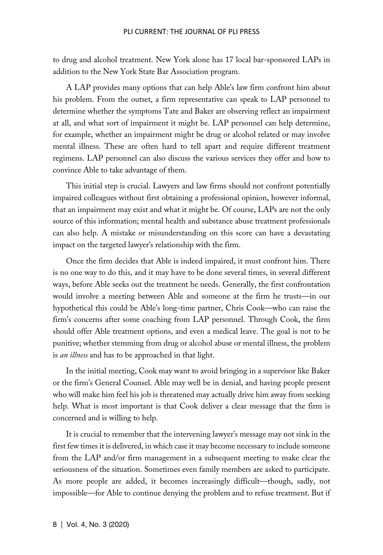#### PLI CURRENT: THE JOURNAL OF PLI PRESS

to drug and alcohol treatment. New York alone has 17 local bar-sponsored LAPs in addition to the New York State Bar Association program.

A LAP provides many options that can help Able's law firm confront him about his problem. From the outset, a firm representative can speak to LAP personnel to determine whether the symptoms Tate and Baker are observing reflect an impairment at all, and what sort of impairment it might be. LAP personnel can help determine, for example, whether an impairment might be drug or alcohol related or may involve mental illness. These are often hard to tell apart and require different treatment regimens. LAP personnel can also discuss the various services they offer and how to convince Able to take advantage of them.

This initial step is crucial. Lawyers and law firms should not confront potentially impaired colleagues without first obtaining a professional opinion, however informal, that an impairment may exist and what it might be. Of course, LAPs are not the only source of this information; mental health and substance abuse treatment professionals can also help. A mistake or misunderstanding on this score can have a devastating impact on the targeted lawyer's relationship with the firm.

Once the firm decides that Able is indeed impaired, it must confront him. There is no one way to do this, and it may have to be done several times, in several different ways, before Able seeks out the treatment he needs. Generally, the first confrontation would involve a meeting between Able and someone at the firm he trusts—in our hypothetical this could be Able's long-time partner, Chris Cook—who can raise the firm's concerns after some coaching from LAP personnel. Through Cook, the firm should offer Able treatment options, and even a medical leave. The goal is not to be punitive; whether stemming from drug or alcohol abuse or mental illness, the problem is *an illness* and has to be approached in that light.

In the initial meeting, Cook may want to avoid bringing in a supervisor like Baker or the firm's General Counsel. Able may well be in denial, and having people present who will make him feel his job is threatened may actually drive him away from seeking help. What is most important is that Cook deliver a clear message that the firm is concerned and is willing to help.

It is crucial to remember that the intervening lawyer's message may not sink in the first few times it is delivered, in which case it may become necessary to include someone from the LAP and/or firm management in a subsequent meeting to make clear the seriousness of the situation. Sometimes even family members are asked to participate. As more people are added, it becomes increasingly difficult—though, sadly, not impossible—for Able to continue denying the problem and to refuse treatment. But if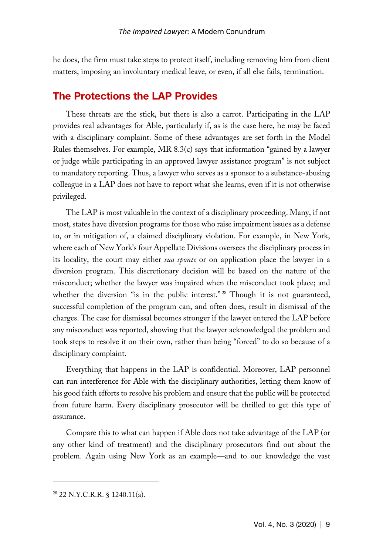he does, the firm must take steps to protect itself, including removing him from client matters, imposing an involuntary medical leave, or even, if all else fails, termination.

# The Protections the LAP Provides

These threats are the stick, but there is also a carrot. Participating in the LAP provides real advantages for Able, particularly if, as is the case here, he may be faced with a disciplinary complaint. Some of these advantages are set forth in the Model Rules themselves. For example, MR 8.3(c) says that information "gained by a lawyer or judge while participating in an approved lawyer assistance program" is not subject to mandatory reporting. Thus, a lawyer who serves as a sponsor to a substance-abusing colleague in a LAP does not have to report what she learns, even if it is not otherwise privileged.

The LAP is most valuable in the context of a disciplinary proceeding. Many, if not most, states have diversion programs for those who raise impairment issues as a defense to, or in mitigation of, a claimed disciplinary violation. For example, in New York, where each of New York's four Appellate Divisions oversees the disciplinary process in its locality, the court may either *sua sponte* or on application place the lawyer in a diversion program. This discretionary decision will be based on the nature of the misconduct; whether the lawyer was impaired when the misconduct took place; and whether the diversion "is in the public interest."<sup>[28](#page-8-0)</sup> Though it is not guaranteed, successful completion of the program can, and often does, result in dismissal of the charges. The case for dismissal becomes stronger if the lawyer entered the LAP before any misconduct was reported, showing that the lawyer acknowledged the problem and took steps to resolve it on their own, rather than being "forced" to do so because of a disciplinary complaint.

Everything that happens in the LAP is confidential. Moreover, LAP personnel can run interference for Able with the disciplinary authorities, letting them know of his good faith efforts to resolve his problem and ensure that the public will be protected from future harm. Every disciplinary prosecutor will be thrilled to get this type of assurance.

Compare this to what can happen if Able does not take advantage of the LAP (or any other kind of treatment) and the disciplinary prosecutors find out about the problem. Again using New York as an example—and to our knowledge the vast

<span id="page-8-0"></span><sup>28</sup> 22 N.Y.C.R.R. § 1240.11(a).